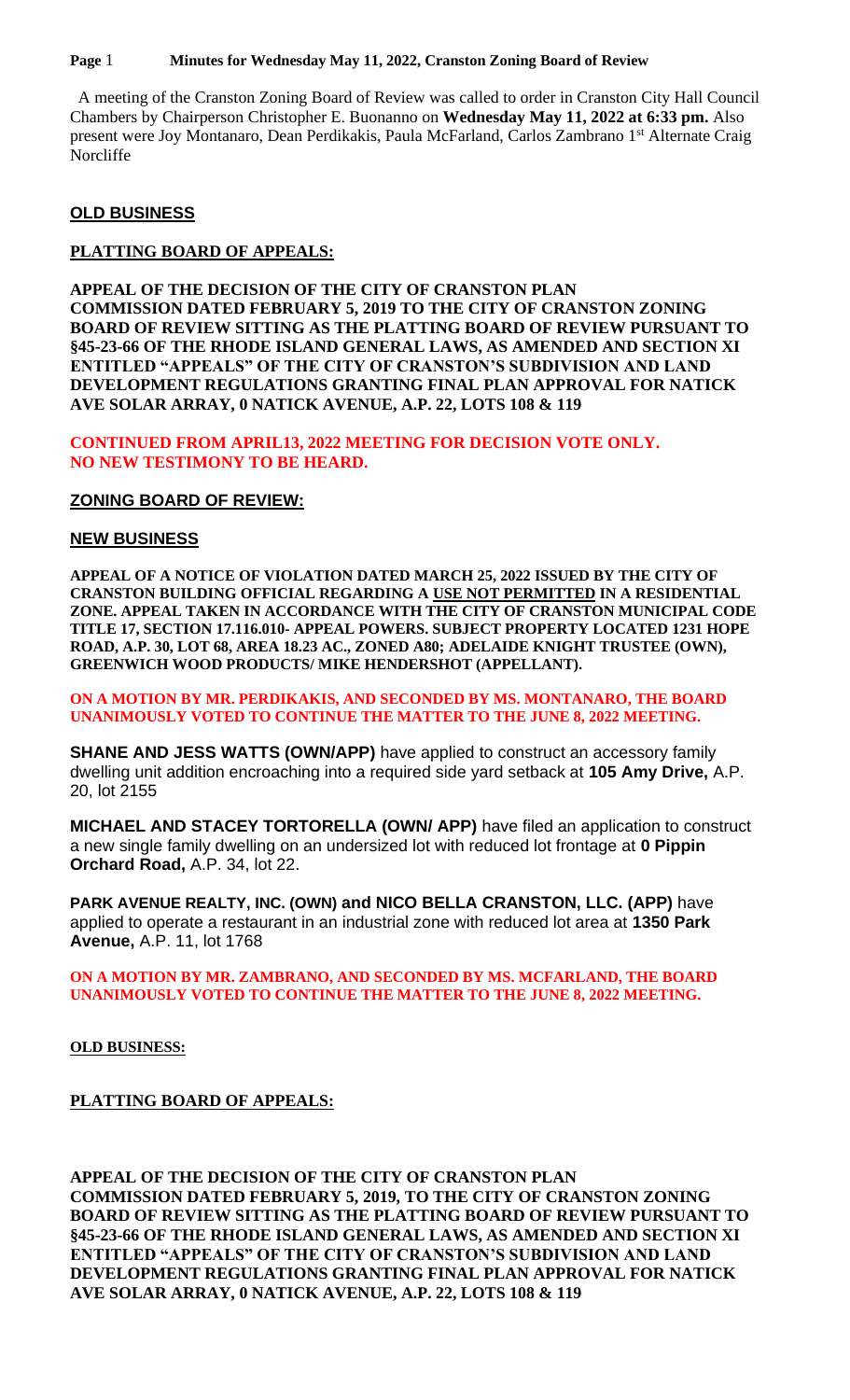### **Page** 1 **Minutes for Wednesday May 11, 2022, Cranston Zoning Board of Review**

 A meeting of the Cranston Zoning Board of Review was called to order in Cranston City Hall Council Chambers by Chairperson Christopher E. Buonanno on **Wednesday May 11, 2022 at 6:33 pm.** Also present were Joy Montanaro, Dean Perdikakis, Paula McFarland, Carlos Zambrano 1st Alternate Craig Norcliffe

# **OLD BUSINESS**

# **PLATTING BOARD OF APPEALS:**

**APPEAL OF THE DECISION OF THE CITY OF CRANSTON PLAN COMMISSION DATED FEBRUARY 5, 2019 TO THE CITY OF CRANSTON ZONING BOARD OF REVIEW SITTING AS THE PLATTING BOARD OF REVIEW PURSUANT TO §45-23-66 OF THE RHODE ISLAND GENERAL LAWS, AS AMENDED AND SECTION XI ENTITLED "APPEALS" OF THE CITY OF CRANSTON'S SUBDIVISION AND LAND DEVELOPMENT REGULATIONS GRANTING FINAL PLAN APPROVAL FOR NATICK AVE SOLAR ARRAY, 0 NATICK AVENUE, A.P. 22, LOTS 108 & 119**

**CONTINUED FROM APRIL13, 2022 MEETING FOR DECISION VOTE ONLY. NO NEW TESTIMONY TO BE HEARD.**

# **ZONING BOARD OF REVIEW:**

## **NEW BUSINESS**

**APPEAL OF A NOTICE OF VIOLATION DATED MARCH 25, 2022 ISSUED BY THE CITY OF CRANSTON BUILDING OFFICIAL REGARDING A USE NOT PERMITTED IN A RESIDENTIAL ZONE. APPEAL TAKEN IN ACCORDANCE WITH THE CITY OF CRANSTON MUNICIPAL CODE TITLE 17, SECTION 17.116.010- APPEAL POWERS. SUBJECT PROPERTY LOCATED 1231 HOPE ROAD, A.P. 30, LOT 68, AREA 18.23 AC., ZONED A80; ADELAIDE KNIGHT TRUSTEE (OWN), GREENWICH WOOD PRODUCTS/ MIKE HENDERSHOT (APPELLANT).** 

**ON A MOTION BY MR. PERDIKAKIS, AND SECONDED BY MS. MONTANARO, THE BOARD UNANIMOUSLY VOTED TO CONTINUE THE MATTER TO THE JUNE 8, 2022 MEETING.**

**SHANE AND JESS WATTS (OWN/APP)** have applied to construct an accessory family dwelling unit addition encroaching into a required side yard setback at **105 Amy Drive,** A.P. 20, lot 2155

**MICHAEL AND STACEY TORTORELLA (OWN/ APP)** have filed an application to construct a new single family dwelling on an undersized lot with reduced lot frontage at **0 Pippin Orchard Road,** A.P. 34, lot 22.

**PARK AVENUE REALTY, INC. (OWN) and NICO BELLA CRANSTON, LLC. (APP)** have applied to operate a restaurant in an industrial zone with reduced lot area at **1350 Park Avenue,** A.P. 11, lot 1768

### **ON A MOTION BY MR. ZAMBRANO, AND SECONDED BY MS. MCFARLAND, THE BOARD UNANIMOUSLY VOTED TO CONTINUE THE MATTER TO THE JUNE 8, 2022 MEETING.**

**OLD BUSINESS:**

**PLATTING BOARD OF APPEALS:** 

**APPEAL OF THE DECISION OF THE CITY OF CRANSTON PLAN COMMISSION DATED FEBRUARY 5, 2019, TO THE CITY OF CRANSTON ZONING BOARD OF REVIEW SITTING AS THE PLATTING BOARD OF REVIEW PURSUANT TO §45-23-66 OF THE RHODE ISLAND GENERAL LAWS, AS AMENDED AND SECTION XI ENTITLED "APPEALS" OF THE CITY OF CRANSTON'S SUBDIVISION AND LAND DEVELOPMENT REGULATIONS GRANTING FINAL PLAN APPROVAL FOR NATICK AVE SOLAR ARRAY, 0 NATICK AVENUE, A.P. 22, LOTS 108 & 119**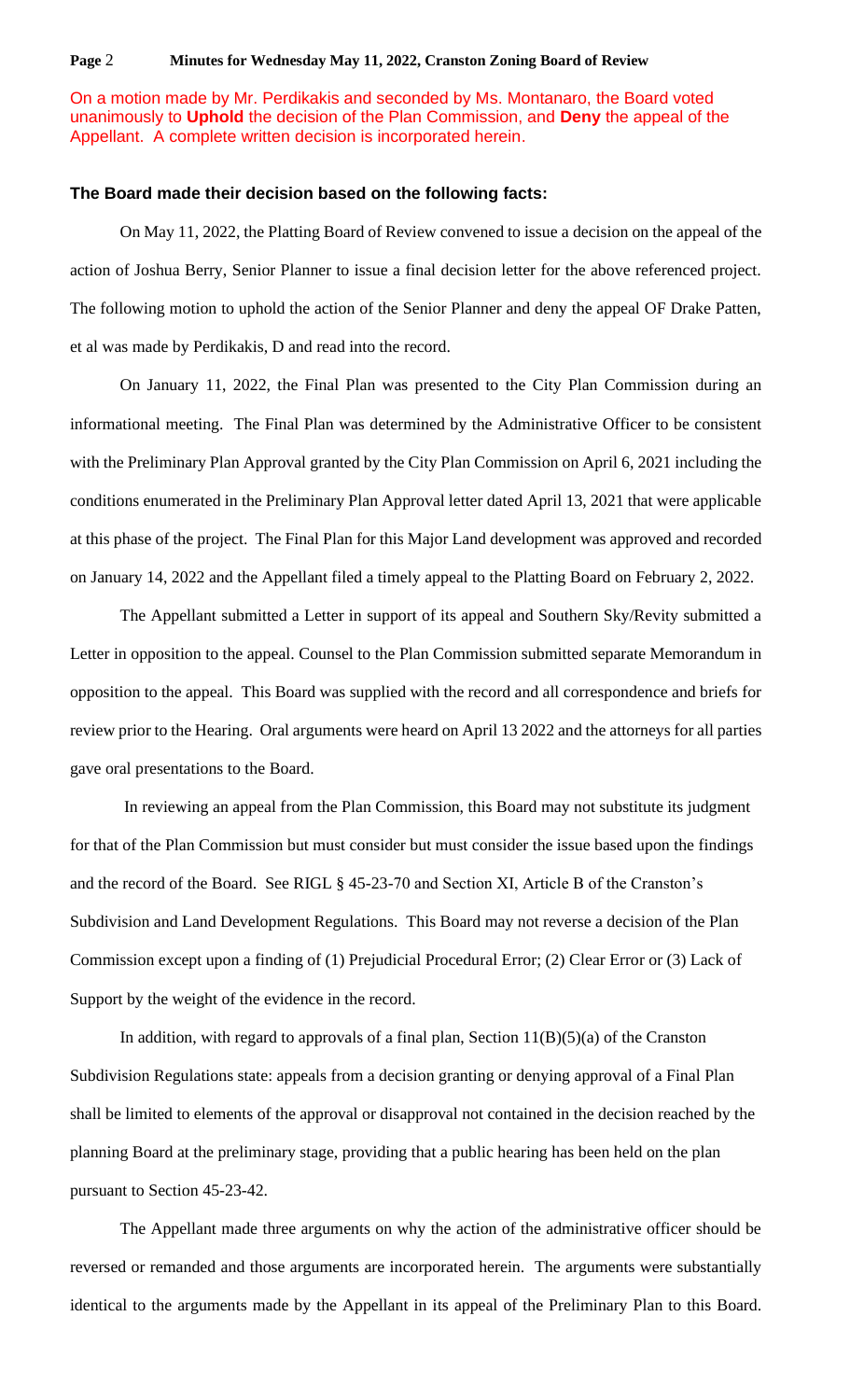#### **Page** 2 **Minutes for Wednesday May 11, 2022, Cranston Zoning Board of Review**

## On a motion made by Mr. Perdikakis and seconded by Ms. Montanaro, the Board voted unanimously to **Uphold** the decision of the Plan Commission, and **Deny** the appeal of the Appellant. A complete written decision is incorporated herein.

#### **The Board made their decision based on the following facts:**

On May 11, 2022, the Platting Board of Review convened to issue a decision on the appeal of the action of Joshua Berry, Senior Planner to issue a final decision letter for the above referenced project. The following motion to uphold the action of the Senior Planner and deny the appeal OF Drake Patten, et al was made by Perdikakis, D and read into the record.

On January 11, 2022, the Final Plan was presented to the City Plan Commission during an informational meeting. The Final Plan was determined by the Administrative Officer to be consistent with the Preliminary Plan Approval granted by the City Plan Commission on April 6, 2021 including the conditions enumerated in the Preliminary Plan Approval letter dated April 13, 2021 that were applicable at this phase of the project. The Final Plan for this Major Land development was approved and recorded on January 14, 2022 and the Appellant filed a timely appeal to the Platting Board on February 2, 2022.

The Appellant submitted a Letter in support of its appeal and Southern Sky/Revity submitted a Letter in opposition to the appeal. Counsel to the Plan Commission submitted separate Memorandum in opposition to the appeal. This Board was supplied with the record and all correspondence and briefs for review prior to the Hearing. Oral arguments were heard on April 13 2022 and the attorneys for all parties gave oral presentations to the Board.

In reviewing an appeal from the Plan Commission, this Board may not substitute its judgment for that of the Plan Commission but must consider but must consider the issue based upon the findings and the record of the Board. See RIGL § 45-23-70 and Section XI, Article B of the Cranston's Subdivision and Land Development Regulations. This Board may not reverse a decision of the Plan Commission except upon a finding of (1) Prejudicial Procedural Error; (2) Clear Error or (3) Lack of Support by the weight of the evidence in the record.

In addition, with regard to approvals of a final plan, Section  $11(B)(5)(a)$  of the Cranston Subdivision Regulations state: appeals from a decision granting or denying approval of a Final Plan shall be limited to elements of the approval or disapproval not contained in the decision reached by the planning Board at the preliminary stage, providing that a public hearing has been held on the plan pursuant to Section 45-23-42.

The Appellant made three arguments on why the action of the administrative officer should be reversed or remanded and those arguments are incorporated herein. The arguments were substantially identical to the arguments made by the Appellant in its appeal of the Preliminary Plan to this Board.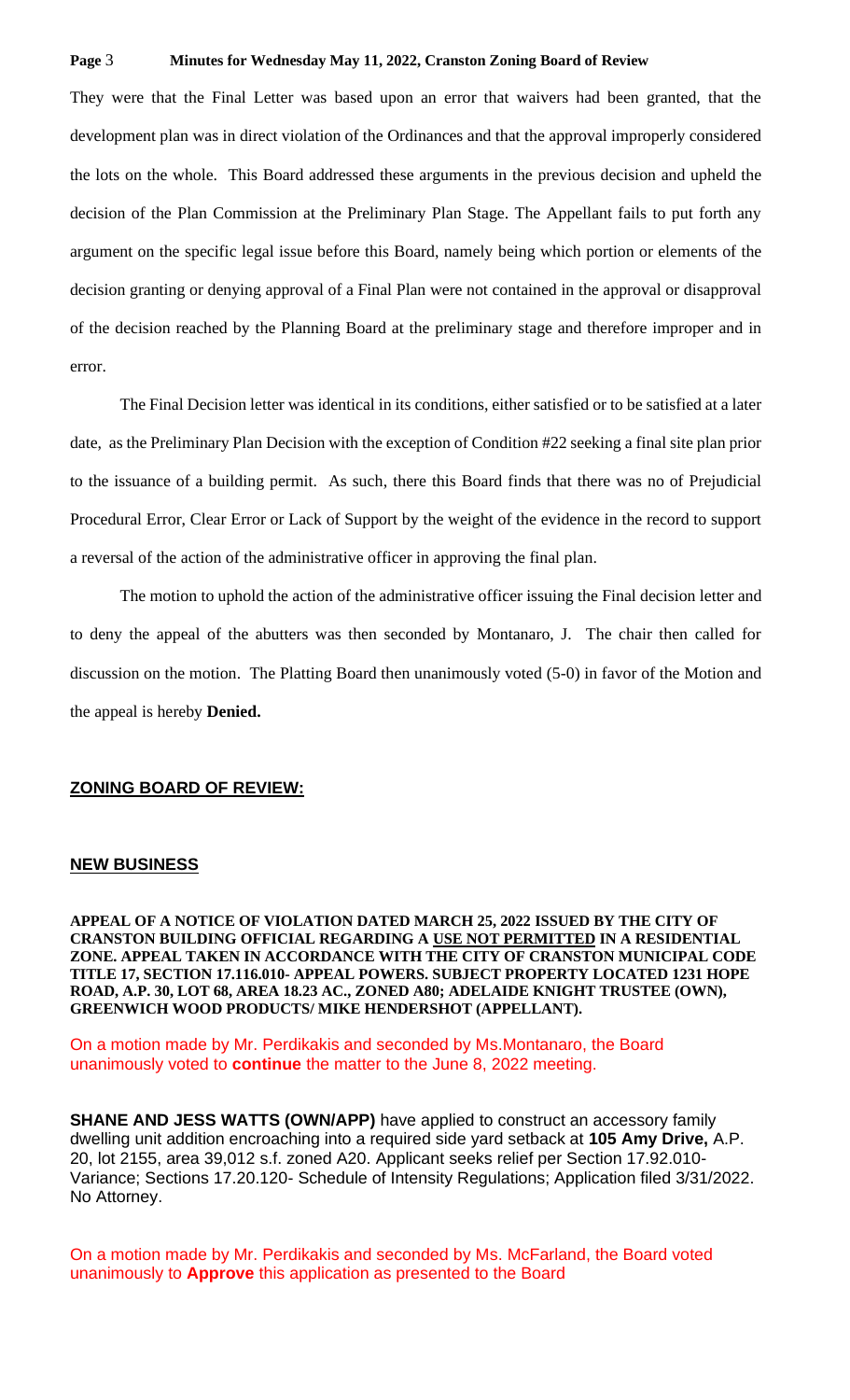#### **Page** 3 **Minutes for Wednesday May 11, 2022, Cranston Zoning Board of Review**

They were that the Final Letter was based upon an error that waivers had been granted, that the development plan was in direct violation of the Ordinances and that the approval improperly considered the lots on the whole. This Board addressed these arguments in the previous decision and upheld the decision of the Plan Commission at the Preliminary Plan Stage. The Appellant fails to put forth any argument on the specific legal issue before this Board, namely being which portion or elements of the decision granting or denying approval of a Final Plan were not contained in the approval or disapproval of the decision reached by the Planning Board at the preliminary stage and therefore improper and in error.

The Final Decision letter was identical in its conditions, either satisfied or to be satisfied at a later date, as the Preliminary Plan Decision with the exception of Condition #22 seeking a final site plan prior to the issuance of a building permit. As such, there this Board finds that there was no of Prejudicial Procedural Error, Clear Error or Lack of Support by the weight of the evidence in the record to support a reversal of the action of the administrative officer in approving the final plan.

The motion to uphold the action of the administrative officer issuing the Final decision letter and to deny the appeal of the abutters was then seconded by Montanaro, J. The chair then called for discussion on the motion. The Platting Board then unanimously voted (5-0) in favor of the Motion and the appeal is hereby **Denied.**

#### **ZONING BOARD OF REVIEW:**

### **NEW BUSINESS**

**APPEAL OF A NOTICE OF VIOLATION DATED MARCH 25, 2022 ISSUED BY THE CITY OF CRANSTON BUILDING OFFICIAL REGARDING A USE NOT PERMITTED IN A RESIDENTIAL ZONE. APPEAL TAKEN IN ACCORDANCE WITH THE CITY OF CRANSTON MUNICIPAL CODE TITLE 17, SECTION 17.116.010- APPEAL POWERS. SUBJECT PROPERTY LOCATED 1231 HOPE ROAD, A.P. 30, LOT 68, AREA 18.23 AC., ZONED A80; ADELAIDE KNIGHT TRUSTEE (OWN), GREENWICH WOOD PRODUCTS/ MIKE HENDERSHOT (APPELLANT).** 

On a motion made by Mr. Perdikakis and seconded by Ms.Montanaro, the Board unanimously voted to **continue** the matter to the June 8, 2022 meeting.

**SHANE AND JESS WATTS (OWN/APP)** have applied to construct an accessory family dwelling unit addition encroaching into a required side yard setback at **105 Amy Drive,** A.P. 20, lot 2155, area 39,012 s.f. zoned A20. Applicant seeks relief per Section 17.92.010- Variance; Sections 17.20.120- Schedule of Intensity Regulations; Application filed 3/31/2022. No Attorney.

On a motion made by Mr. Perdikakis and seconded by Ms. McFarland, the Board voted unanimously to **Approve** this application as presented to the Board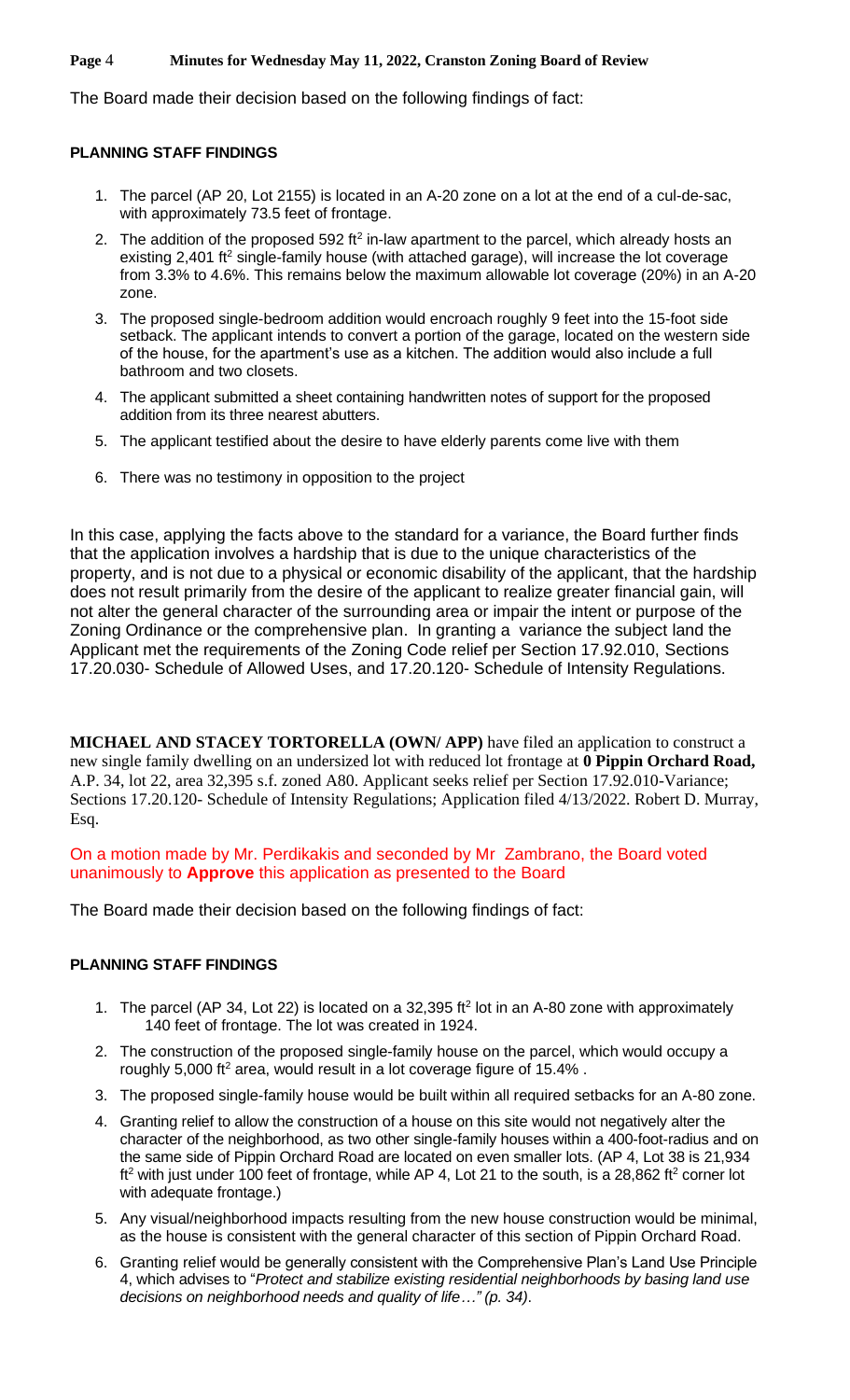### **Page** 4 **Minutes for Wednesday May 11, 2022, Cranston Zoning Board of Review**

The Board made their decision based on the following findings of fact:

# **PLANNING STAFF FINDINGS**

- 1. The parcel (AP 20, Lot 2155) is located in an A-20 zone on a lot at the end of a cul-de-sac, with approximately 73.5 feet of frontage.
- 2. The addition of the proposed 592 ft<sup>2</sup> in-law apartment to the parcel, which already hosts an existing 2,401 ft<sup>2</sup> single-family house (with attached garage), will increase the lot coverage from 3.3% to 4.6%. This remains below the maximum allowable lot coverage (20%) in an A-20 zone.
- 3. The proposed single-bedroom addition would encroach roughly 9 feet into the 15-foot side setback. The applicant intends to convert a portion of the garage, located on the western side of the house, for the apartment's use as a kitchen. The addition would also include a full bathroom and two closets.
- 4. The applicant submitted a sheet containing handwritten notes of support for the proposed addition from its three nearest abutters.
- 5. The applicant testified about the desire to have elderly parents come live with them
- 6. There was no testimony in opposition to the project

In this case, applying the facts above to the standard for a variance, the Board further finds that the application involves a hardship that is due to the unique characteristics of the property, and is not due to a physical or economic disability of the applicant, that the hardship does not result primarily from the desire of the applicant to realize greater financial gain, will not alter the general character of the surrounding area or impair the intent or purpose of the Zoning Ordinance or the comprehensive plan. In granting a variance the subject land the Applicant met the requirements of the Zoning Code relief per Section 17.92.010, Sections 17.20.030- Schedule of Allowed Uses, and 17.20.120- Schedule of Intensity Regulations.

**MICHAEL AND STACEY TORTORELLA (OWN/ APP)** have filed an application to construct a new single family dwelling on an undersized lot with reduced lot frontage at **0 Pippin Orchard Road,**  A.P. 34, lot 22, area 32,395 s.f. zoned A80. Applicant seeks relief per Section 17.92.010-Variance; Sections 17.20.120- Schedule of Intensity Regulations; Application filed 4/13/2022. Robert D. Murray, Esq.

On a motion made by Mr. Perdikakis and seconded by Mr Zambrano, the Board voted unanimously to **Approve** this application as presented to the Board

The Board made their decision based on the following findings of fact:

## **PLANNING STAFF FINDINGS**

- 1. The parcel (AP 34, Lot 22) is located on a 32,395 ft<sup>2</sup> lot in an A-80 zone with approximately 140 feet of frontage. The lot was created in 1924.
- 2. The construction of the proposed single-family house on the parcel, which would occupy a roughly 5,000 ft<sup>2</sup> area, would result in a lot coverage figure of 15.4%.
- 3. The proposed single-family house would be built within all required setbacks for an A-80 zone.
- 4. Granting relief to allow the construction of a house on this site would not negatively alter the character of the neighborhood, as two other single-family houses within a 400-foot-radius and on the same side of Pippin Orchard Road are located on even smaller lots. (AP 4, Lot 38 is 21,934  $ft<sup>2</sup>$  with just under 100 feet of frontage, while AP 4, Lot 21 to the south, is a 28,862 ft<sup>2</sup> corner lot with adequate frontage.)
- 5. Any visual/neighborhood impacts resulting from the new house construction would be minimal, as the house is consistent with the general character of this section of Pippin Orchard Road.
- 6. Granting relief would be generally consistent with the Comprehensive Plan's Land Use Principle 4, which advises to "*Protect and stabilize existing residential neighborhoods by basing land use decisions on neighborhood needs and quality of life…" (p. 34)*.